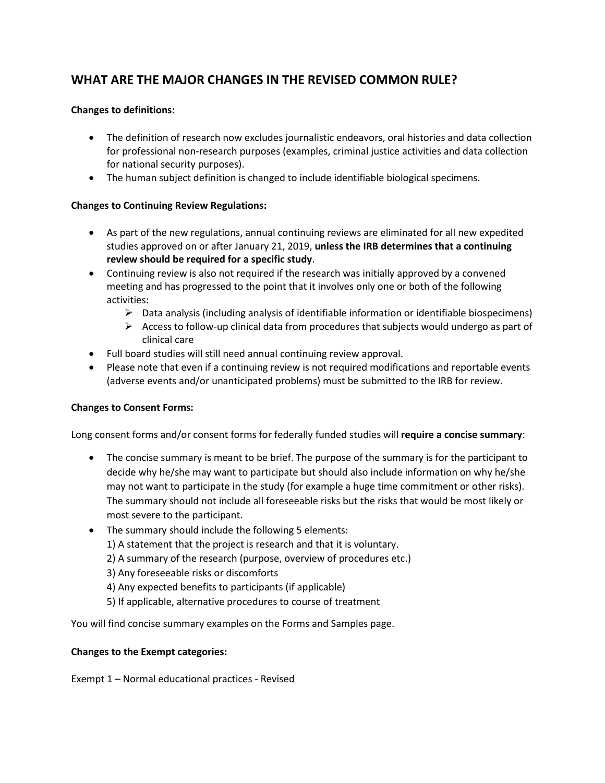# **WHAT ARE THE MAJOR CHANGES IN THE REVISED COMMON RULE?**

## **Changes to definitions:**

- The definition of research now excludes journalistic endeavors, oral histories and data collection for professional non-research purposes (examples, criminal justice activities and data collection for national security purposes).
- The human subject definition is changed to include identifiable biological specimens.

#### **Changes to Continuing Review Regulations:**

- As part of the new regulations, annual continuing reviews are eliminated for all new expedited studies approved on or after January 21, 2019, **unless the IRB determines that a continuing review should be required for a specific study**.
- Continuing review is also not required if the research was initially approved by a convened meeting and has progressed to the point that it involves only one or both of the following activities:
	- $\triangleright$  Data analysis (including analysis of identifiable information or identifiable biospecimens)
	- $\triangleright$  Access to follow-up clinical data from procedures that subjects would undergo as part of clinical care
- Full board studies will still need annual continuing review approval.
- Please note that even if a continuing review is not required modifications and reportable events (adverse events and/or unanticipated problems) must be submitted to the IRB for review.

## **Changes to Consent Forms:**

Long consent forms and/or consent forms for federally funded studies will **require a concise summary**:

- The concise summary is meant to be brief. The purpose of the summary is for the participant to decide why he/she may want to participate but should also include information on why he/she may not want to participate in the study (for example a huge time commitment or other risks). The summary should not include all foreseeable risks but the risks that would be most likely or most severe to the participant.
- The summary should include the following 5 elements:
	- 1) A statement that the project is research and that it is voluntary.
	- 2) A summary of the research (purpose, overview of procedures etc.)
	- 3) Any foreseeable risks or discomforts
	- 4) Any expected benefits to participants (if applicable)
	- 5) If applicable, alternative procedures to course of treatment

You will find concise summary examples on the Forms and Samples page.

#### **Changes to the Exempt categories:**

Exempt 1 – Normal educational practices - Revised